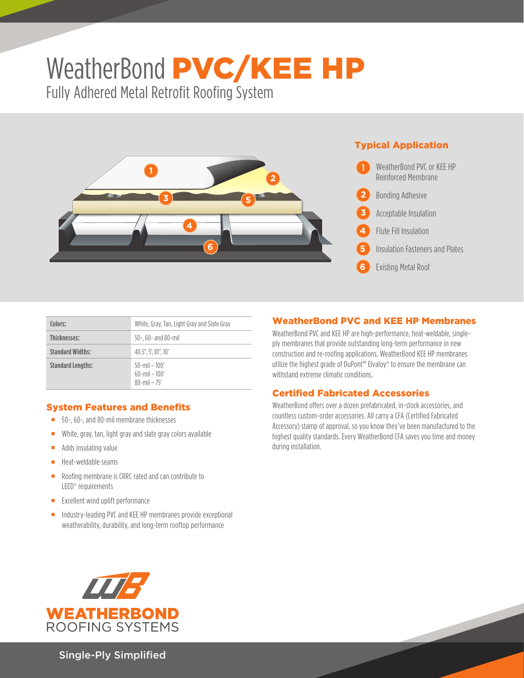# WeatherBond PVC/KEE HP Fully Adhered Metal Retrofit Roofing System



# Typical Application



| Colors:                  | White, Gray, Tan, Light Gray and Slate Gray                 |
|--------------------------|-------------------------------------------------------------|
| <b>Thicknesses:</b>      | $50-$ , 60- and 80-mil                                      |
| <b>Standard Widths:</b>  | 40.5", 5', 81", 10'                                         |
| <b>Standard Lengths:</b> | $50$ -mil - $100'$<br>$60$ -mil - $100'$<br>$80$ -mil – 75' |

## System Features and Benefits

- 50-, 60-, and 80-mil membrane thicknesses
- White, gray, tan, light gray and slate gray colors available
- $\blacksquare$  Adds insulating value
- $H$ eat-weldable seams
- Roofing membrane is CRRC rated and can contribute to LEED® requirements
- **Excellent wind uplift performance**
- **Industry-leading PVC and KEE HP membranes provide exceptional** weatherability, durability, and long-term rooftop performance

## WeatherBond PVC and KEE HP Membranes

WeatherBond PVC and KEE HP are high-performance, heat-weldable, singleply membranes that provide outstanding long-term performance in new construction and re-roofing applications. WeatherBond KEE HP membranes utilize the highest grade of DuPont™ Elvaloy® to ensure the membrane can withstand extreme climatic conditions.

## Certified Fabricated Accessories

WeatherBond offers over a dozen prefabricated, in-stock accessories, and countless custom-order accessories. All carry a CFA (Certified Fabricated Accessory) stamp of approval, so you know they've been manufactured to the highest quality standards. Every WeatherBond CFA saves you time and money during installation.



Single-Ply Simplified